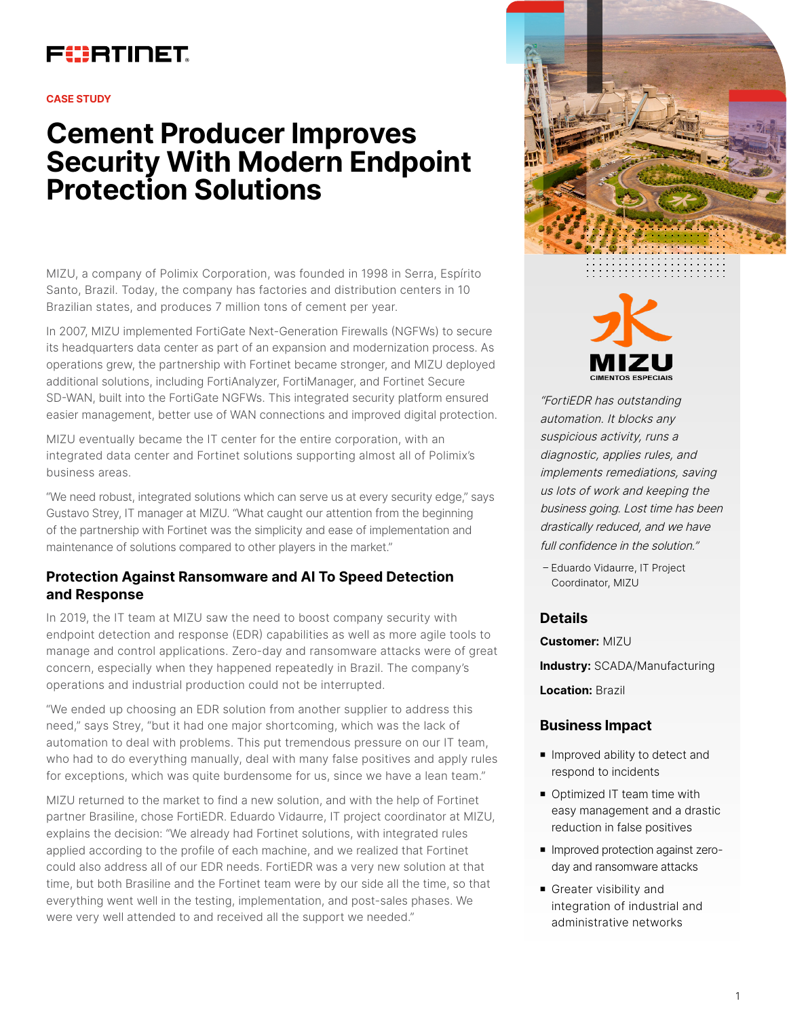## FURTINET

#### **CASE STUDY**

# **Cement Producer Improves Security With Modern Endpoint Protection Solutions**

MIZU, a company of Polimix Corporation, was founded in 1998 in Serra, Espírito Santo, Brazil. Today, the company has factories and distribution centers in 10 Brazilian states, and produces 7 million tons of cement per year.

In 2007, MIZU implemented FortiGate Next-Generation Firewalls (NGFWs) to secure its headquarters data center as part of an expansion and modernization process. As operations grew, the partnership with Fortinet became stronger, and MIZU deployed additional solutions, including FortiAnalyzer, FortiManager, and Fortinet Secure SD-WAN, built into the FortiGate NGFWs. This integrated security platform ensured easier management, better use of WAN connections and improved digital protection.

MIZU eventually became the IT center for the entire corporation, with an integrated data center and Fortinet solutions supporting almost all of Polimix's business areas.

"We need robust, integrated solutions which can serve us at every security edge," says Gustavo Strey, IT manager at MIZU. "What caught our attention from the beginning of the partnership with Fortinet was the simplicity and ease of implementation and maintenance of solutions compared to other players in the market."

### **Protection Against Ransomware and AI To Speed Detection and Response**

In 2019, the IT team at MIZU saw the need to boost company security with endpoint detection and response (EDR) capabilities as well as more agile tools to manage and control applications. Zero-day and ransomware attacks were of great concern, especially when they happened repeatedly in Brazil. The company's operations and industrial production could not be interrupted.

"We ended up choosing an EDR solution from another supplier to address this need," says Strey, "but it had one major shortcoming, which was the lack of automation to deal with problems. This put tremendous pressure on our IT team, who had to do everything manually, deal with many false positives and apply rules for exceptions, which was quite burdensome for us, since we have a lean team."

MIZU returned to the market to find a new solution, and with the help of Fortinet partner Brasiline, chose FortiEDR. Eduardo Vidaurre, IT project coordinator at MIZU, explains the decision: "We already had Fortinet solutions, with integrated rules applied according to the profile of each machine, and we realized that Fortinet could also address all of our EDR needs. FortiEDR was a very new solution at that time, but both Brasiline and the Fortinet team were by our side all the time, so that everything went well in the testing, implementation, and post-sales phases. We were very well attended to and received all the support we needed."





"FortiEDR has outstanding automation. It blocks any suspicious activity, runs a diagnostic, applies rules, and implements remediations, saving us lots of work and keeping the business going. Lost time has been drastically reduced, and we have full confidence in the solution."

– Eduardo Vidaurre, IT Project Coordinator, MIZU

#### **Details**

**Customer:** MIZU **Industry:** SCADA/Manufacturing **Location:** Brazil

#### **Business Impact**

- **n** Improved ability to detect and respond to incidents
- Optimized IT team time with easy management and a drastic reduction in false positives
- Improved protection against zeroday and ransomware attacks
- **n** Greater visibility and integration of industrial and administrative networks